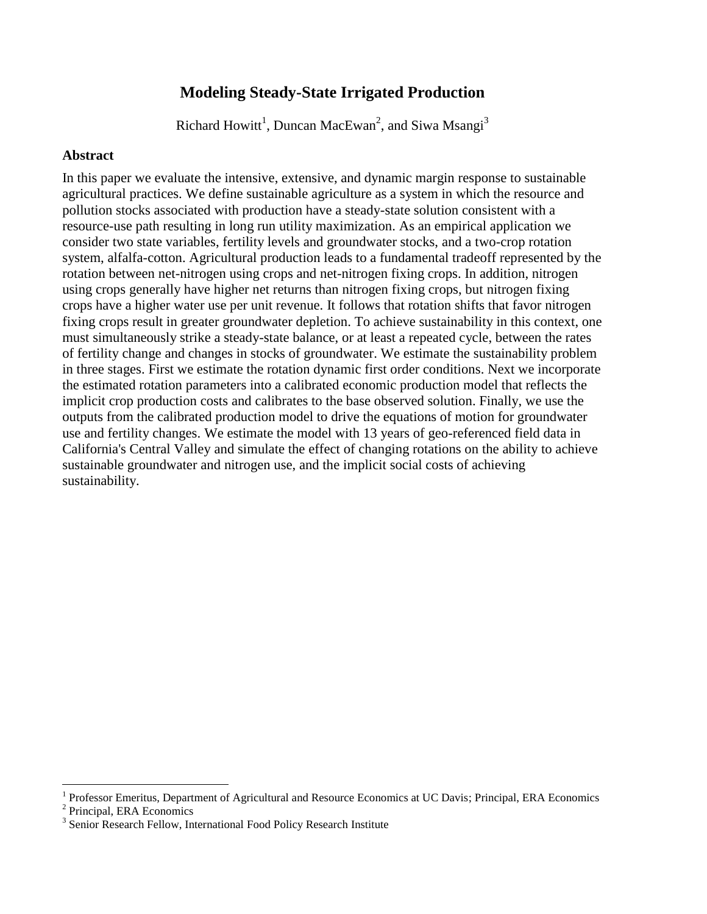# **Modeling Steady-State Irrigated Production**

Richard Howitt<sup>1</sup>, Duncan MacEwan<sup>2</sup>, and Siwa Msangi<sup>3</sup>

# **Abstract**

In this paper we evaluate the intensive, extensive, and dynamic margin response to sustainable agricultural practices. We define sustainable agriculture as a system in which the resource and pollution stocks associated with production have a steady-state solution consistent with a resource-use path resulting in long run utility maximization. As an empirical application we consider two state variables, fertility levels and groundwater stocks, and a two-crop rotation system, alfalfa-cotton. Agricultural production leads to a fundamental tradeoff represented by the rotation between net-nitrogen using crops and net-nitrogen fixing crops. In addition, nitrogen using crops generally have higher net returns than nitrogen fixing crops, but nitrogen fixing crops have a higher water use per unit revenue. It follows that rotation shifts that favor nitrogen fixing crops result in greater groundwater depletion. To achieve sustainability in this context, one must simultaneously strike a steady-state balance, or at least a repeated cycle, between the rates of fertility change and changes in stocks of groundwater. We estimate the sustainability problem in three stages. First we estimate the rotation dynamic first order conditions. Next we incorporate the estimated rotation parameters into a calibrated economic production model that reflects the implicit crop production costs and calibrates to the base observed solution. Finally, we use the outputs from the calibrated production model to drive the equations of motion for groundwater use and fertility changes. We estimate the model with 13 years of geo-referenced field data in California's Central Valley and simulate the effect of changing rotations on the ability to achieve sustainable groundwater and nitrogen use, and the implicit social costs of achieving sustainability.

 $\overline{a}$ 

<sup>1</sup> Professor Emeritus, Department of Agricultural and Resource Economics at UC Davis; Principal, ERA Economics

<sup>2</sup> Principal, ERA Economics

<sup>&</sup>lt;sup>3</sup> Senior Research Fellow, International Food Policy Research Institute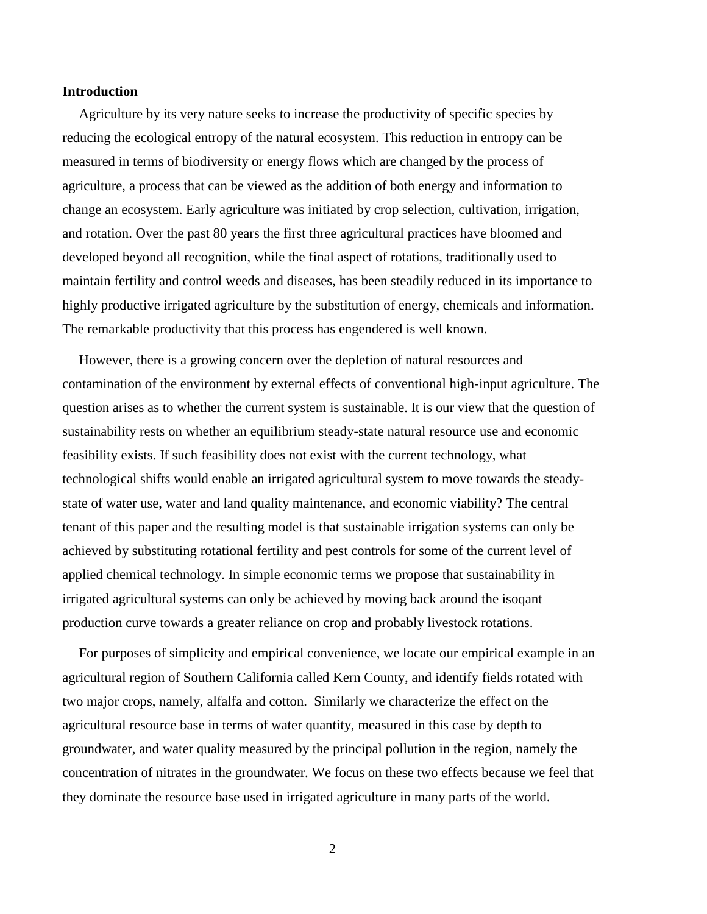### **Introduction**

Agriculture by its very nature seeks to increase the productivity of specific species by reducing the ecological entropy of the natural ecosystem. This reduction in entropy can be measured in terms of biodiversity or energy flows which are changed by the process of agriculture, a process that can be viewed as the addition of both energy and information to change an ecosystem. Early agriculture was initiated by crop selection, cultivation, irrigation, and rotation. Over the past 80 years the first three agricultural practices have bloomed and developed beyond all recognition, while the final aspect of rotations, traditionally used to maintain fertility and control weeds and diseases, has been steadily reduced in its importance to highly productive irrigated agriculture by the substitution of energy, chemicals and information. The remarkable productivity that this process has engendered is well known.

However, there is a growing concern over the depletion of natural resources and contamination of the environment by external effects of conventional high-input agriculture. The question arises as to whether the current system is sustainable. It is our view that the question of sustainability rests on whether an equilibrium steady-state natural resource use and economic feasibility exists. If such feasibility does not exist with the current technology, what technological shifts would enable an irrigated agricultural system to move towards the steadystate of water use, water and land quality maintenance, and economic viability? The central tenant of this paper and the resulting model is that sustainable irrigation systems can only be achieved by substituting rotational fertility and pest controls for some of the current level of applied chemical technology. In simple economic terms we propose that sustainability in irrigated agricultural systems can only be achieved by moving back around the isoqant production curve towards a greater reliance on crop and probably livestock rotations.

For purposes of simplicity and empirical convenience, we locate our empirical example in an agricultural region of Southern California called Kern County, and identify fields rotated with two major crops, namely, alfalfa and cotton. Similarly we characterize the effect on the agricultural resource base in terms of water quantity, measured in this case by depth to groundwater, and water quality measured by the principal pollution in the region, namely the concentration of nitrates in the groundwater. We focus on these two effects because we feel that they dominate the resource base used in irrigated agriculture in many parts of the world.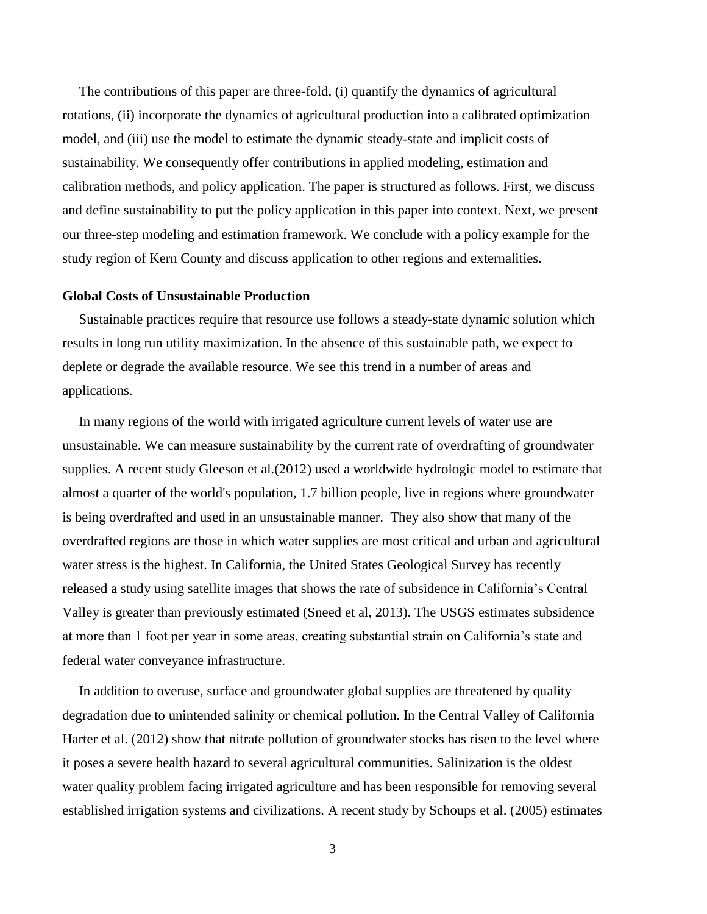The contributions of this paper are three-fold, (i) quantify the dynamics of agricultural rotations, (ii) incorporate the dynamics of agricultural production into a calibrated optimization model, and (iii) use the model to estimate the dynamic steady-state and implicit costs of sustainability. We consequently offer contributions in applied modeling, estimation and calibration methods, and policy application. The paper is structured as follows. First, we discuss and define sustainability to put the policy application in this paper into context. Next, we present our three-step modeling and estimation framework. We conclude with a policy example for the study region of Kern County and discuss application to other regions and externalities.

### **Global Costs of Unsustainable Production**

Sustainable practices require that resource use follows a steady-state dynamic solution which results in long run utility maximization. In the absence of this sustainable path, we expect to deplete or degrade the available resource. We see this trend in a number of areas and applications.

In many regions of the world with irrigated agriculture current levels of water use are unsustainable. We can measure sustainability by the current rate of overdrafting of groundwater supplies. A recent study Gleeson et al.(2012) used a worldwide hydrologic model to estimate that almost a quarter of the world's population, 1.7 billion people, live in regions where groundwater is being overdrafted and used in an unsustainable manner. They also show that many of the overdrafted regions are those in which water supplies are most critical and urban and agricultural water stress is the highest. In California, the United States Geological Survey has recently released a study using satellite images that shows the rate of subsidence in California's Central Valley is greater than previously estimated (Sneed et al, 2013). The USGS estimates subsidence at more than 1 foot per year in some areas, creating substantial strain on California's state and federal water conveyance infrastructure.

In addition to overuse, surface and groundwater global supplies are threatened by quality degradation due to unintended salinity or chemical pollution. In the Central Valley of California Harter et al. (2012) show that nitrate pollution of groundwater stocks has risen to the level where it poses a severe health hazard to several agricultural communities. Salinization is the oldest water quality problem facing irrigated agriculture and has been responsible for removing several established irrigation systems and civilizations. A recent study by Schoups et al. (2005) estimates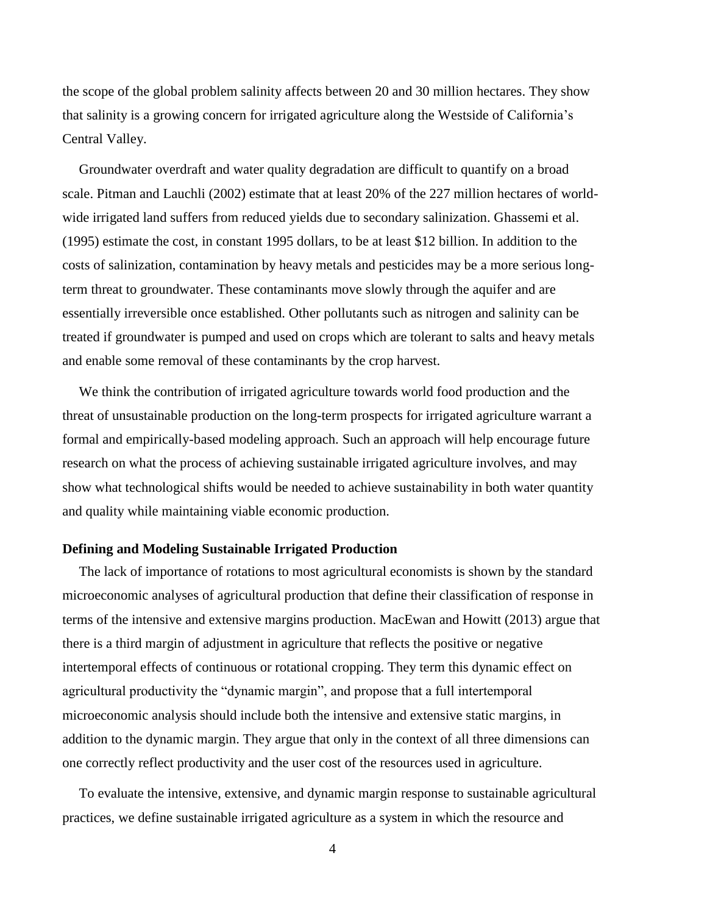the scope of the global problem salinity affects between 20 and 30 million hectares. They show that salinity is a growing concern for irrigated agriculture along the Westside of California's Central Valley.

Groundwater overdraft and water quality degradation are difficult to quantify on a broad scale. Pitman and Lauchli (2002) estimate that at least 20% of the 227 million hectares of worldwide irrigated land suffers from reduced yields due to secondary salinization. Ghassemi et al. (1995) estimate the cost, in constant 1995 dollars, to be at least \$12 billion. In addition to the costs of salinization, contamination by heavy metals and pesticides may be a more serious longterm threat to groundwater. These contaminants move slowly through the aquifer and are essentially irreversible once established. Other pollutants such as nitrogen and salinity can be treated if groundwater is pumped and used on crops which are tolerant to salts and heavy metals and enable some removal of these contaminants by the crop harvest.

We think the contribution of irrigated agriculture towards world food production and the threat of unsustainable production on the long-term prospects for irrigated agriculture warrant a formal and empirically-based modeling approach. Such an approach will help encourage future research on what the process of achieving sustainable irrigated agriculture involves, and may show what technological shifts would be needed to achieve sustainability in both water quantity and quality while maintaining viable economic production.

### **Defining and Modeling Sustainable Irrigated Production**

The lack of importance of rotations to most agricultural economists is shown by the standard microeconomic analyses of agricultural production that define their classification of response in terms of the intensive and extensive margins production. MacEwan and Howitt (2013) argue that there is a third margin of adjustment in agriculture that reflects the positive or negative intertemporal effects of continuous or rotational cropping. They term this dynamic effect on agricultural productivity the "dynamic margin", and propose that a full intertemporal microeconomic analysis should include both the intensive and extensive static margins, in addition to the dynamic margin. They argue that only in the context of all three dimensions can one correctly reflect productivity and the user cost of the resources used in agriculture.

To evaluate the intensive, extensive, and dynamic margin response to sustainable agricultural practices, we define sustainable irrigated agriculture as a system in which the resource and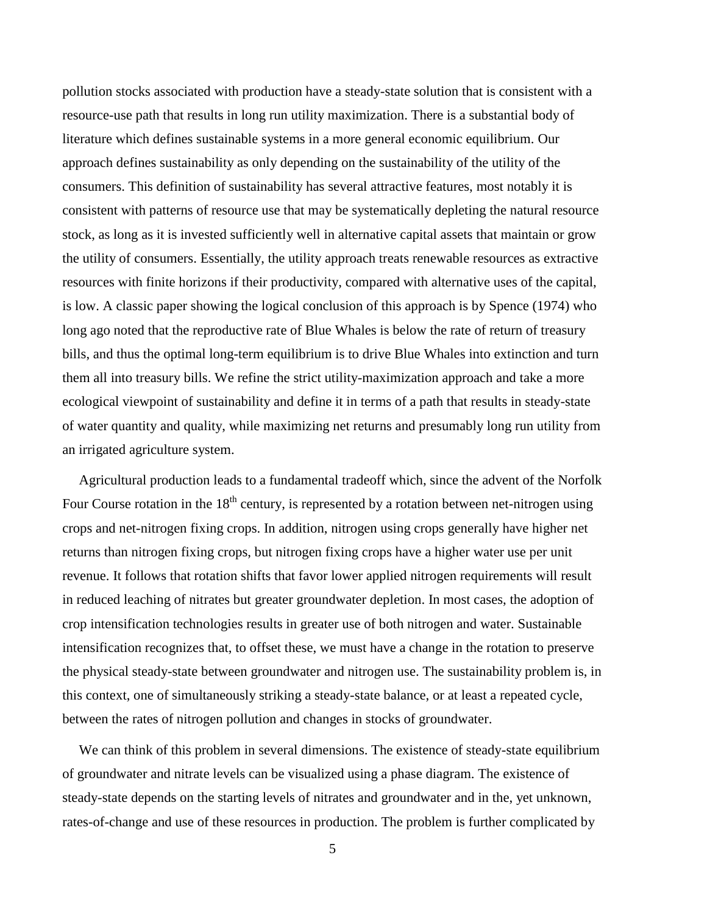pollution stocks associated with production have a steady-state solution that is consistent with a resource-use path that results in long run utility maximization. There is a substantial body of literature which defines sustainable systems in a more general economic equilibrium. Our approach defines sustainability as only depending on the sustainability of the utility of the consumers. This definition of sustainability has several attractive features, most notably it is consistent with patterns of resource use that may be systematically depleting the natural resource stock, as long as it is invested sufficiently well in alternative capital assets that maintain or grow the utility of consumers. Essentially, the utility approach treats renewable resources as extractive resources with finite horizons if their productivity, compared with alternative uses of the capital, is low. A classic paper showing the logical conclusion of this approach is by Spence (1974) who long ago noted that the reproductive rate of Blue Whales is below the rate of return of treasury bills, and thus the optimal long-term equilibrium is to drive Blue Whales into extinction and turn them all into treasury bills. We refine the strict utility-maximization approach and take a more ecological viewpoint of sustainability and define it in terms of a path that results in steady-state of water quantity and quality, while maximizing net returns and presumably long run utility from an irrigated agriculture system.

Agricultural production leads to a fundamental tradeoff which, since the advent of the Norfolk Four Course rotation in the  $18<sup>th</sup>$  century, is represented by a rotation between net-nitrogen using crops and net-nitrogen fixing crops. In addition, nitrogen using crops generally have higher net returns than nitrogen fixing crops, but nitrogen fixing crops have a higher water use per unit revenue. It follows that rotation shifts that favor lower applied nitrogen requirements will result in reduced leaching of nitrates but greater groundwater depletion. In most cases, the adoption of crop intensification technologies results in greater use of both nitrogen and water. Sustainable intensification recognizes that, to offset these, we must have a change in the rotation to preserve the physical steady-state between groundwater and nitrogen use. The sustainability problem is, in this context, one of simultaneously striking a steady-state balance, or at least a repeated cycle, between the rates of nitrogen pollution and changes in stocks of groundwater.

We can think of this problem in several dimensions. The existence of steady-state equilibrium of groundwater and nitrate levels can be visualized using a phase diagram. The existence of steady-state depends on the starting levels of nitrates and groundwater and in the, yet unknown, rates-of-change and use of these resources in production. The problem is further complicated by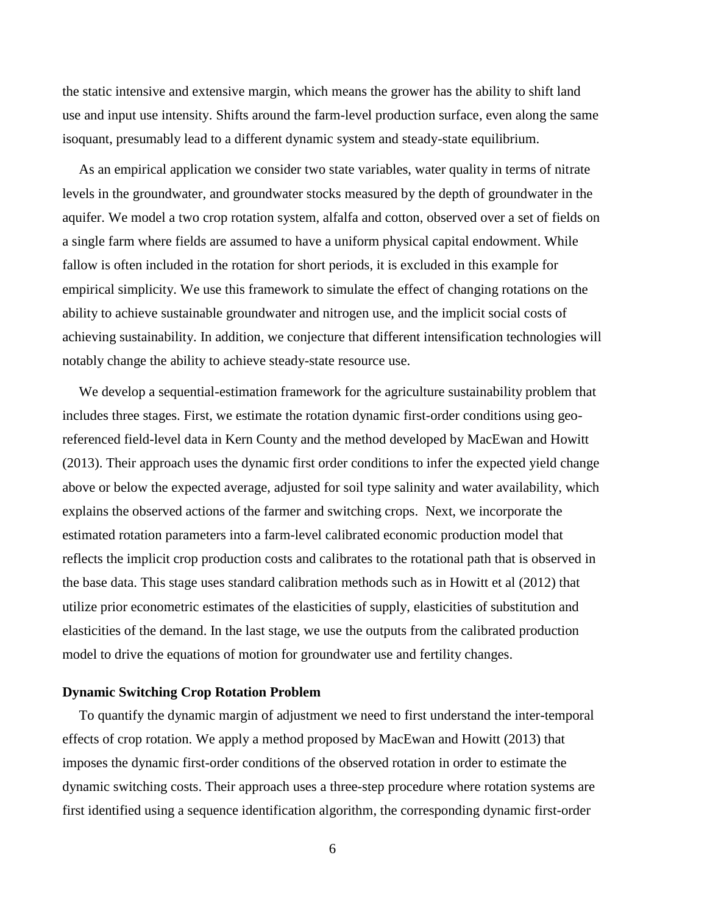the static intensive and extensive margin, which means the grower has the ability to shift land use and input use intensity. Shifts around the farm-level production surface, even along the same isoquant, presumably lead to a different dynamic system and steady-state equilibrium.

As an empirical application we consider two state variables, water quality in terms of nitrate levels in the groundwater, and groundwater stocks measured by the depth of groundwater in the aquifer. We model a two crop rotation system, alfalfa and cotton, observed over a set of fields on a single farm where fields are assumed to have a uniform physical capital endowment. While fallow is often included in the rotation for short periods, it is excluded in this example for empirical simplicity. We use this framework to simulate the effect of changing rotations on the ability to achieve sustainable groundwater and nitrogen use, and the implicit social costs of achieving sustainability. In addition, we conjecture that different intensification technologies will notably change the ability to achieve steady-state resource use.

We develop a sequential-estimation framework for the agriculture sustainability problem that includes three stages. First, we estimate the rotation dynamic first-order conditions using georeferenced field-level data in Kern County and the method developed by MacEwan and Howitt (2013). Their approach uses the dynamic first order conditions to infer the expected yield change above or below the expected average, adjusted for soil type salinity and water availability, which explains the observed actions of the farmer and switching crops. Next, we incorporate the estimated rotation parameters into a farm-level calibrated economic production model that reflects the implicit crop production costs and calibrates to the rotational path that is observed in the base data. This stage uses standard calibration methods such as in Howitt et al (2012) that utilize prior econometric estimates of the elasticities of supply, elasticities of substitution and elasticities of the demand. In the last stage, we use the outputs from the calibrated production model to drive the equations of motion for groundwater use and fertility changes.

### **Dynamic Switching Crop Rotation Problem**

To quantify the dynamic margin of adjustment we need to first understand the inter-temporal effects of crop rotation. We apply a method proposed by MacEwan and Howitt (2013) that imposes the dynamic first-order conditions of the observed rotation in order to estimate the dynamic switching costs. Their approach uses a three-step procedure where rotation systems are first identified using a sequence identification algorithm, the corresponding dynamic first-order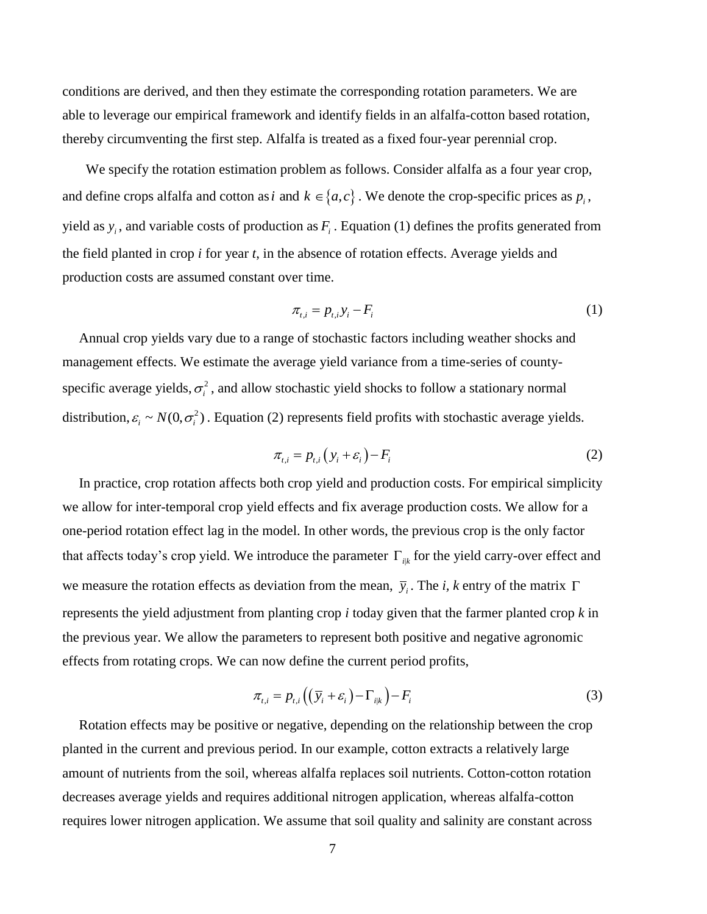conditions are derived, and then they estimate the corresponding rotation parameters. We are able to leverage our empirical framework and identify fields in an alfalfa-cotton based rotation, thereby circumventing the first step. Alfalfa is treated as a fixed four-year perennial crop.

 We specify the rotation estimation problem as follows. Consider alfalfa as a four year crop, and define crops alfalfa and cotton as *i* and  $k \in \{a, c\}$ . We denote the crop-specific prices as  $p_i$ , yield as  $y_i$ , and variable costs of production as  $F_i$ . Equation (1) defines the profits generated from the field planted in crop *i* for year *t*, in the absence of rotation effects. Average yields and production costs are assumed constant over time.

$$
\pi_{t,i} = p_{t,i} y_i - F_i \tag{1}
$$

Annual crop yields vary due to a range of stochastic factors including weather shocks and management effects. We estimate the average yield variance from a time-series of countyspecific average yields,  $\sigma_i^2$ , and allow stochastic yield shocks to follow a stationary normal distribution,  $\varepsilon_i \sim N(0, \sigma_i^2)$ . Equation (2) represents field profits with stochastic average yields.

$$
\pi_{i,i} = p_{i,i} \left( y_i + \varepsilon_i \right) - F_i \tag{2}
$$

In practice, crop rotation affects both crop yield and production costs. For empirical simplicity we allow for inter-temporal crop yield effects and fix average production costs. We allow for a one-period rotation effect lag in the model. In other words, the previous crop is the only factor that affects today's crop yield. We introduce the parameter  $\Gamma_{ijk}$  for the yield carry-over effect and we measure the rotation effects as deviation from the mean,  $\bar{y}_i$ . The *i*, *k* entry of the matrix  $\Gamma$ represents the yield adjustment from planting crop *i* today given that the farmer planted crop *k* in the previous year. We allow the parameters to represent both positive and negative agronomic effects from rotating crops. We can now define the current period profits,

$$
\pi_{t,i} = p_{t,i} \left( \left( \overline{y}_i + \varepsilon_i \right) - \Gamma_{i|k} \right) - F_i \tag{3}
$$

Rotation effects may be positive or negative, depending on the relationship between the crop planted in the current and previous period. In our example, cotton extracts a relatively large amount of nutrients from the soil, whereas alfalfa replaces soil nutrients. Cotton-cotton rotation decreases average yields and requires additional nitrogen application, whereas alfalfa-cotton requires lower nitrogen application. We assume that soil quality and salinity are constant across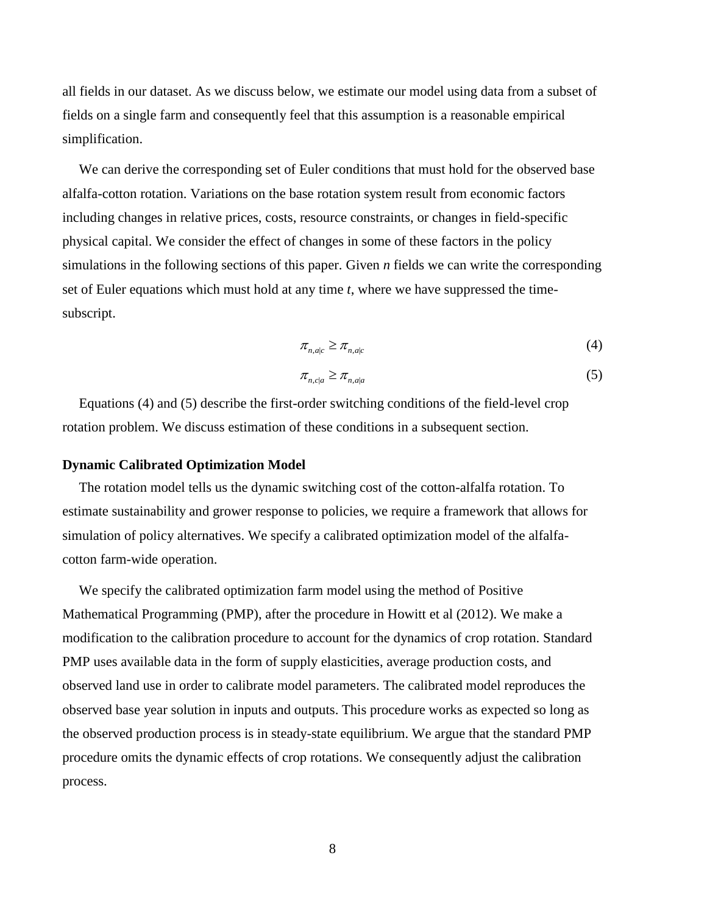all fields in our dataset. As we discuss below, we estimate our model using data from a subset of fields on a single farm and consequently feel that this assumption is a reasonable empirical simplification.

We can derive the corresponding set of Euler conditions that must hold for the observed base alfalfa-cotton rotation. Variations on the base rotation system result from economic factors including changes in relative prices, costs, resource constraints, or changes in field-specific physical capital. We consider the effect of changes in some of these factors in the policy simulations in the following sections of this paper. Given *n* fields we can write the corresponding set of Euler equations which must hold at any time *t*, where we have suppressed the timesubscript.

$$
\pi_{n,a|c} \ge \pi_{n,a|c} \tag{4}
$$

$$
\pi_{n,c|a} \ge \pi_{n,a|a} \tag{5}
$$

Equations (4) and (5) describe the first-order switching conditions of the field-level crop rotation problem. We discuss estimation of these conditions in a subsequent section.

#### **Dynamic Calibrated Optimization Model**

The rotation model tells us the dynamic switching cost of the cotton-alfalfa rotation. To estimate sustainability and grower response to policies, we require a framework that allows for simulation of policy alternatives. We specify a calibrated optimization model of the alfalfacotton farm-wide operation.

We specify the calibrated optimization farm model using the method of Positive Mathematical Programming (PMP), after the procedure in Howitt et al (2012). We make a modification to the calibration procedure to account for the dynamics of crop rotation. Standard PMP uses available data in the form of supply elasticities, average production costs, and observed land use in order to calibrate model parameters. The calibrated model reproduces the observed base year solution in inputs and outputs. This procedure works as expected so long as the observed production process is in steady-state equilibrium. We argue that the standard PMP procedure omits the dynamic effects of crop rotations. We consequently adjust the calibration process.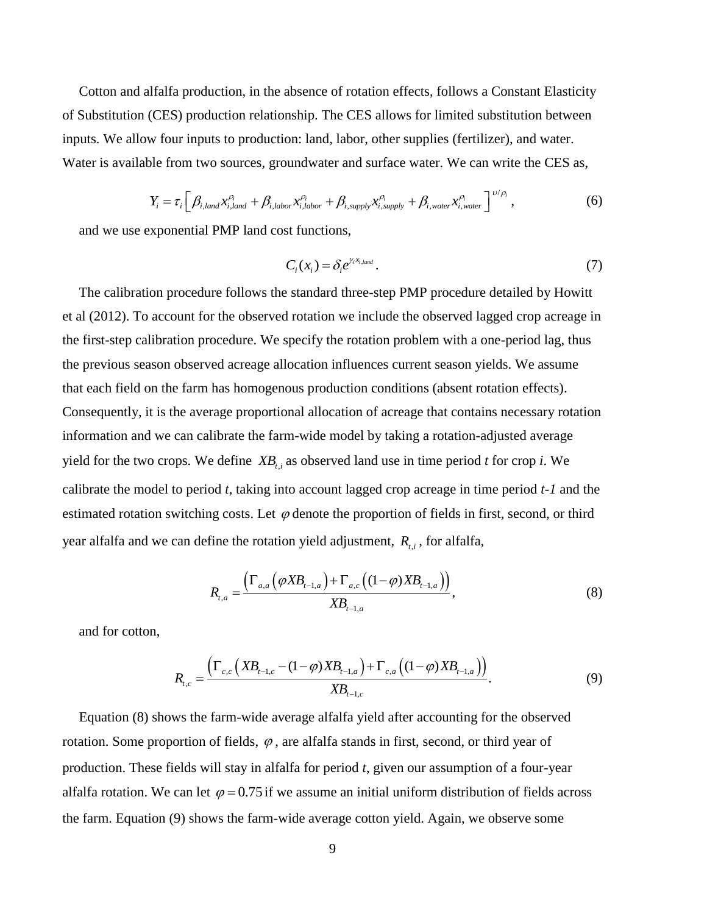Cotton and alfalfa production, in the absence of rotation effects, follows a Constant Elasticity of Substitution (CES) production relationship. The CES allows for limited substitution between inputs. We allow four inputs to production: land, labor, other supplies (fertilizer), and water.

Water is available from two sources, groundwater and surface water. We can write the CES as,  
\n
$$
Y_i = \tau_i \left[ \beta_{i, land} x_{i, land}^{\rho_i} + \beta_{i, labor} x_{i, labor}^{\rho_i} + \beta_{i, supply} x_{i, supply}^{\rho_i} + \beta_{i, water} x_{i, water}^{\rho_i} \right]^{v/\rho_i},
$$
\n(6)

and we use exponential PMP land cost functions,

$$
C_i(x_i) = \delta_i e^{\gamma_i x_{i,land}}.
$$
\n(7)

The calibration procedure follows the standard three-step PMP procedure detailed by Howitt et al (2012). To account for the observed rotation we include the observed lagged crop acreage in the first-step calibration procedure. We specify the rotation problem with a one-period lag, thus the previous season observed acreage allocation influences current season yields. We assume that each field on the farm has homogenous production conditions (absent rotation effects). Consequently, it is the average proportional allocation of acreage that contains necessary rotation information and we can calibrate the farm-wide model by taking a rotation-adjusted average yield for the two crops. We define  $XB_{t,i}$  as observed land use in time period *t* for crop *i*. We calibrate the model to period *t*, taking into account lagged crop acreage in time period *t-1* and the estimated rotation switching costs. Let  $\varphi$  denote the proportion of fields in first, second, or third year alfalfa and we can define the rotation yield adjustment,  $R_{i,i}$ , for alfalfa,

$$
R_{t,a} = \frac{\left(\Gamma_{a,a}\left(\varphi X B_{t-1,a}\right) + \Gamma_{a,c}\left((1-\varphi)X B_{t-1,a}\right)\right)}{X B_{t-1,a}},
$$
\n(8)

and for cotton,

$$
R_{t,c} = \frac{\left(\Gamma_{c,c} \left(XB_{t-1,c} - (1-\varphi)XB_{t-1,a}\right) + \Gamma_{c,a} \left((1-\varphi)XB_{t-1,a}\right)\right)}{XB_{t-1,c}}.
$$
(9)

Equation (8) shows the farm-wide average alfalfa yield after accounting for the observed rotation. Some proportion of fields,  $\varphi$ , are alfalfa stands in first, second, or third year of production. These fields will stay in alfalfa for period *t*, given our assumption of a four-year alfalfa rotation. We can let  $\varphi = 0.75$  if we assume an initial uniform distribution of fields across the farm. Equation (9) shows the farm-wide average cotton yield. Again, we observe some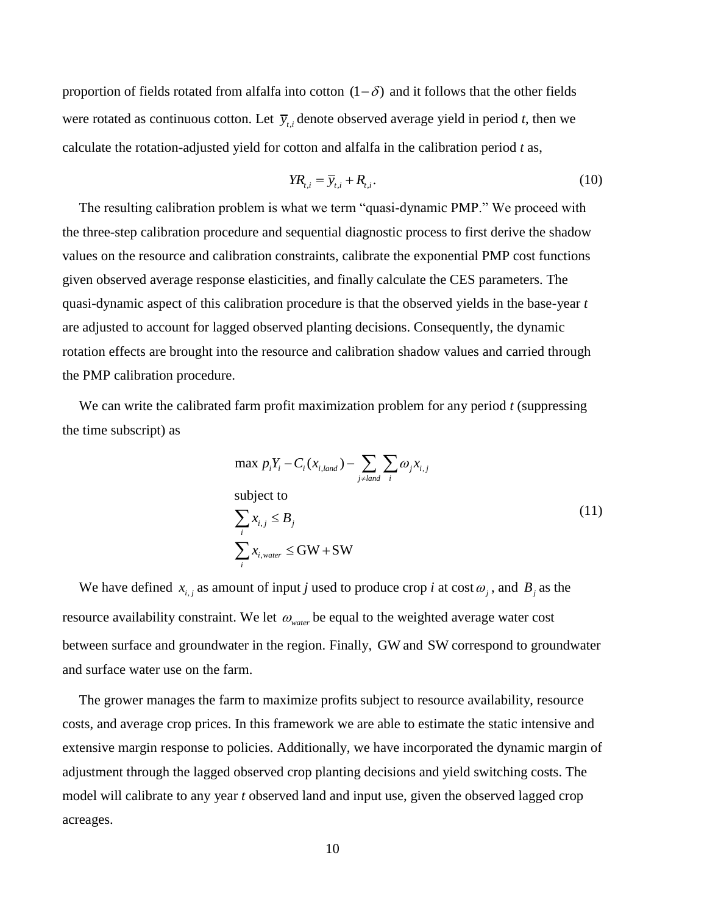proportion of fields rotated from alfalfa into cotton  $(1 - \delta)$  and it follows that the other fields were rotated as continuous cotton. Let  $\bar{y}_{t,i}$  denote observed average yield in period *t*, then we calculate the rotation-adjusted yield for cotton and alfalfa in the calibration period *t* as,

$$
YR_{i,i} = \overline{y}_{i,i} + R_{i,i}.
$$
\n<sup>(10)</sup>

The resulting calibration problem is what we term "quasi-dynamic PMP." We proceed with the three-step calibration procedure and sequential diagnostic process to first derive the shadow values on the resource and calibration constraints, calibrate the exponential PMP cost functions given observed average response elasticities, and finally calculate the CES parameters. The quasi-dynamic aspect of this calibration procedure is that the observed yields in the base-year *t* are adjusted to account for lagged observed planting decisions. Consequently, the dynamic rotation effects are brought into the resource and calibration shadow values and carried through the PMP calibration procedure.

We can write the calibrated farm profit maximization problem for any period *t* (suppressing the time subscript) as

$$
\max p_i Y_i - C_i (x_{i, land}) - \sum_{j \neq land} \sum_i \omega_j x_{i,j}
$$
\n
$$
\text{subject to}
$$
\n
$$
\sum_i x_{i,j} \le B_j
$$
\n
$$
\sum_i x_{i, water} \le \text{GW} + \text{SW}
$$
\n(11)

We have defined  $x_{i,j}$  as amount of input *j* used to produce crop *i* at cost  $\omega_j$ , and  $B_j$  as the resource availability constraint. We let  $\omega_{\text{water}}$  be equal to the weighted average water cost between surface and groundwater in the region. Finally, GW and SW correspond to groundwater and surface water use on the farm.

The grower manages the farm to maximize profits subject to resource availability, resource costs, and average crop prices. In this framework we are able to estimate the static intensive and extensive margin response to policies. Additionally, we have incorporated the dynamic margin of adjustment through the lagged observed crop planting decisions and yield switching costs. The model will calibrate to any year *t* observed land and input use, given the observed lagged crop acreages.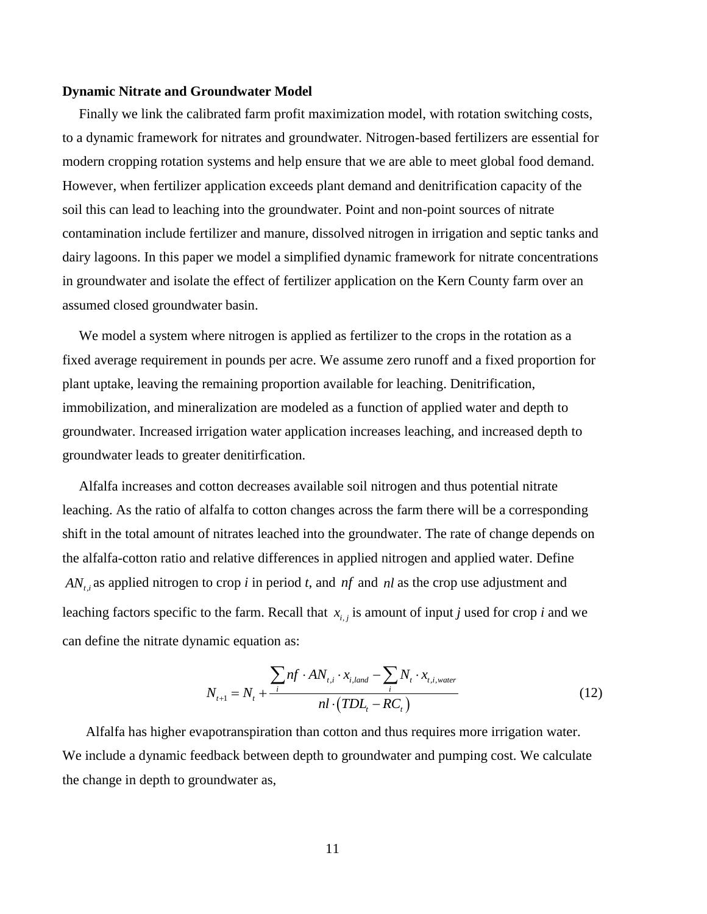### **Dynamic Nitrate and Groundwater Model**

Finally we link the calibrated farm profit maximization model, with rotation switching costs, to a dynamic framework for nitrates and groundwater. Nitrogen-based fertilizers are essential for modern cropping rotation systems and help ensure that we are able to meet global food demand. However, when fertilizer application exceeds plant demand and denitrification capacity of the soil this can lead to leaching into the groundwater. Point and non-point sources of nitrate contamination include fertilizer and manure, dissolved nitrogen in irrigation and septic tanks and dairy lagoons. In this paper we model a simplified dynamic framework for nitrate concentrations in groundwater and isolate the effect of fertilizer application on the Kern County farm over an assumed closed groundwater basin.

We model a system where nitrogen is applied as fertilizer to the crops in the rotation as a fixed average requirement in pounds per acre. We assume zero runoff and a fixed proportion for plant uptake, leaving the remaining proportion available for leaching. Denitrification, immobilization, and mineralization are modeled as a function of applied water and depth to groundwater. Increased irrigation water application increases leaching, and increased depth to groundwater leads to greater denitirfication.

Alfalfa increases and cotton decreases available soil nitrogen and thus potential nitrate leaching. As the ratio of alfalfa to cotton changes across the farm there will be a corresponding shift in the total amount of nitrates leached into the groundwater. The rate of change depends on the alfalfa-cotton ratio and relative differences in applied nitrogen and applied water. Define  $AN_{t,i}$  as applied nitrogen to crop *i* in period *t*, and *nf* and *nl* as the crop use adjustment and leaching factors specific to the farm. Recall that  $x_{i,j}$  is amount of input *j* used for crop *i* and we can define the nitrate dynamic equation as:

$$
N_{t+1} = N_t + \frac{\sum_{i} nf \cdot AN_{t,i} \cdot x_{i,land} - \sum_{i} N_t \cdot x_{t,i,water}}{nl \cdot (TDL_t - RC_t)}
$$
(12)

Alfalfa has higher evapotranspiration than cotton and thus requires more irrigation water. We include a dynamic feedback between depth to groundwater and pumping cost. We calculate the change in depth to groundwater as,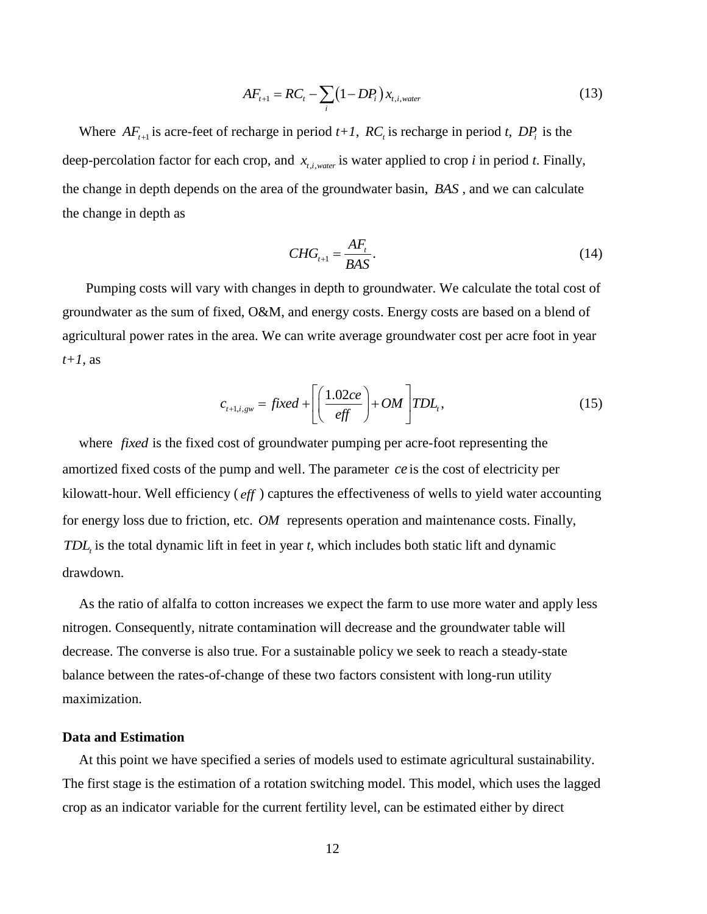$$
AF_{t+1} = RC_t - \sum_{i} (1 - DP_i) x_{t,i,water}
$$
\n(13)

Where  $AF_{t+1}$  is acre-feet of recharge in period  $t+1$ ,  $RC_t$  is recharge in period  $t$ ,  $DP_i$  is the deep-percolation factor for each crop, and  $x_{t,i,water}$  is water applied to crop *i* in period *t*. Finally, the change in depth depends on the area of the groundwater basin, *BAS* , and we can calculate the change in depth as

$$
CHG_{t+1} = \frac{AF_t}{BAS}.
$$
\n(14)

Pumping costs will vary with changes in depth to groundwater. We calculate the total cost of groundwater as the sum of fixed, O&M, and energy costs. Energy costs are based on a blend of agricultural power rates in the area. We can write average groundwater cost per acre foot in year *t+1*, as

$$
c_{t+1,i,gw} = fixed + \left[ \left( \frac{1.02ce}{eff} \right) + OM \right] TDL_t,
$$
\n(15)

where *fixed* is the fixed cost of groundwater pumping per acre-foot representing the amortized fixed costs of the pump and well. The parameter *ce* is the cost of electricity per kilowatt-hour. Well efficiency ( *eff* ) captures the effectiveness of wells to yield water accounting for energy loss due to friction, etc. *OM* represents operation and maintenance costs. Finally, *TDL<sup>t</sup>* is the total dynamic lift in feet in year *t*, which includes both static lift and dynamic drawdown.

As the ratio of alfalfa to cotton increases we expect the farm to use more water and apply less nitrogen. Consequently, nitrate contamination will decrease and the groundwater table will decrease. The converse is also true. For a sustainable policy we seek to reach a steady-state balance between the rates-of-change of these two factors consistent with long-run utility maximization.

# **Data and Estimation**

At this point we have specified a series of models used to estimate agricultural sustainability. The first stage is the estimation of a rotation switching model. This model, which uses the lagged crop as an indicator variable for the current fertility level, can be estimated either by direct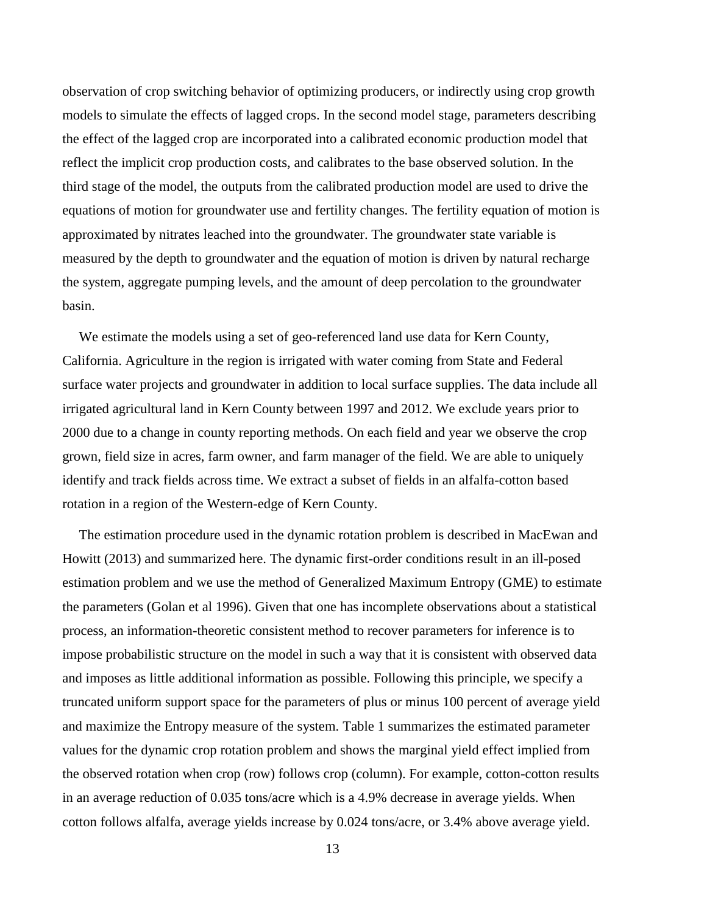observation of crop switching behavior of optimizing producers, or indirectly using crop growth models to simulate the effects of lagged crops. In the second model stage, parameters describing the effect of the lagged crop are incorporated into a calibrated economic production model that reflect the implicit crop production costs, and calibrates to the base observed solution. In the third stage of the model, the outputs from the calibrated production model are used to drive the equations of motion for groundwater use and fertility changes. The fertility equation of motion is approximated by nitrates leached into the groundwater. The groundwater state variable is measured by the depth to groundwater and the equation of motion is driven by natural recharge the system, aggregate pumping levels, and the amount of deep percolation to the groundwater basin.

We estimate the models using a set of geo-referenced land use data for Kern County, California. Agriculture in the region is irrigated with water coming from State and Federal surface water projects and groundwater in addition to local surface supplies. The data include all irrigated agricultural land in Kern County between 1997 and 2012. We exclude years prior to 2000 due to a change in county reporting methods. On each field and year we observe the crop grown, field size in acres, farm owner, and farm manager of the field. We are able to uniquely identify and track fields across time. We extract a subset of fields in an alfalfa-cotton based rotation in a region of the Western-edge of Kern County.

The estimation procedure used in the dynamic rotation problem is described in MacEwan and Howitt (2013) and summarized here. The dynamic first-order conditions result in an ill-posed estimation problem and we use the method of Generalized Maximum Entropy (GME) to estimate the parameters (Golan et al 1996). Given that one has incomplete observations about a statistical process, an information-theoretic consistent method to recover parameters for inference is to impose probabilistic structure on the model in such a way that it is consistent with observed data and imposes as little additional information as possible. Following this principle, we specify a truncated uniform support space for the parameters of plus or minus 100 percent of average yield and maximize the Entropy measure of the system. Table 1 summarizes the estimated parameter values for the dynamic crop rotation problem and shows the marginal yield effect implied from the observed rotation when crop (row) follows crop (column). For example, cotton-cotton results in an average reduction of 0.035 tons/acre which is a 4.9% decrease in average yields. When cotton follows alfalfa, average yields increase by 0.024 tons/acre, or 3.4% above average yield.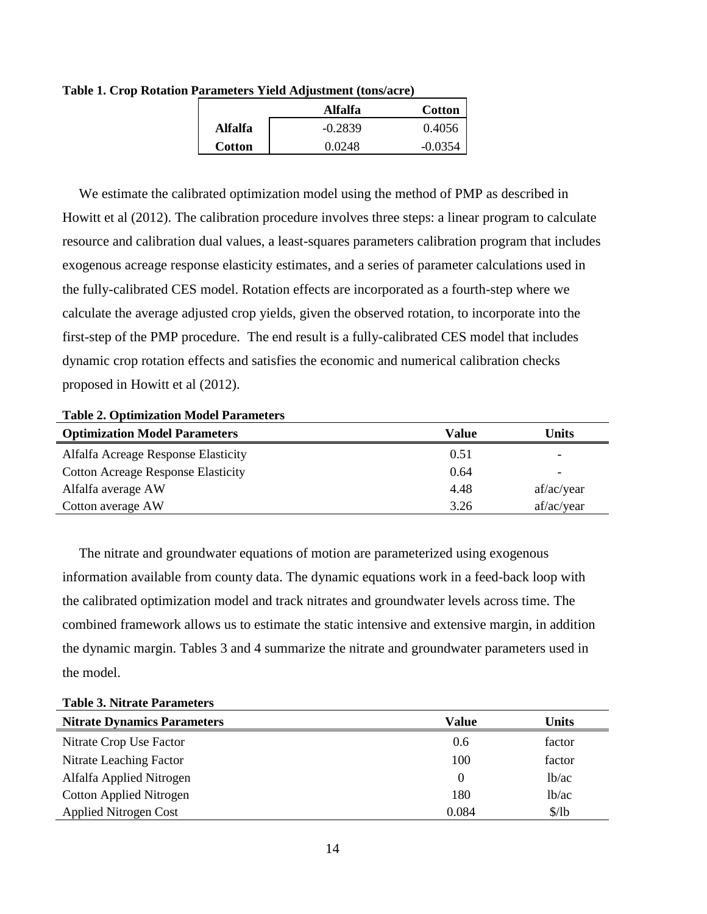|               | <b>Alfalfa</b> | <b>Cotton</b> |
|---------------|----------------|---------------|
| Alfalfa       | $-0.2839$      | 0.4056        |
| <b>Cotton</b> | 0.0248         | $-0.0354$     |

**Table 1. Crop Rotation Parameters Yield Adjustment (tons/acre)**

We estimate the calibrated optimization model using the method of PMP as described in Howitt et al (2012). The calibration procedure involves three steps: a linear program to calculate resource and calibration dual values, a least-squares parameters calibration program that includes exogenous acreage response elasticity estimates, and a series of parameter calculations used in the fully-calibrated CES model. Rotation effects are incorporated as a fourth-step where we calculate the average adjusted crop yields, given the observed rotation, to incorporate into the first-step of the PMP procedure. The end result is a fully-calibrated CES model that includes dynamic crop rotation effects and satisfies the economic and numerical calibration checks proposed in Howitt et al (2012).

# **Table 2. Optimization Model Parameters**

| <b>Optimization Model Parameters</b>      | Value | Units                    |
|-------------------------------------------|-------|--------------------------|
| Alfalfa Acreage Response Elasticity       | 0.51  | $\overline{\phantom{0}}$ |
| <b>Cotton Acreage Response Elasticity</b> | 0.64  | ۰                        |
| Alfalfa average AW                        | 4.48  | af/ac/year               |
| Cotton average AW                         | 3.26  | af/ac/year               |

The nitrate and groundwater equations of motion are parameterized using exogenous information available from county data. The dynamic equations work in a feed-back loop with the calibrated optimization model and track nitrates and groundwater levels across time. The combined framework allows us to estimate the static intensive and extensive margin, in addition the dynamic margin. Tables 3 and 4 summarize the nitrate and groundwater parameters used in the model.

| Tuon oi Tuu ule Turumeed           |          |                    |  |  |
|------------------------------------|----------|--------------------|--|--|
| <b>Nitrate Dynamics Parameters</b> | Value    | Units              |  |  |
| Nitrate Crop Use Factor            | 0.6      | factor             |  |  |
| Nitrate Leaching Factor            | 100      | factor             |  |  |
| Alfalfa Applied Nitrogen           | $\Omega$ | 1 <sub>b</sub> /ac |  |  |
| <b>Cotton Applied Nitrogen</b>     | 180      | 1 <sub>b</sub> /ac |  |  |
| <b>Applied Nitrogen Cost</b>       | 0.084    | \$/1 <sub>b</sub>  |  |  |

**Table 3. Nitrate Parameters**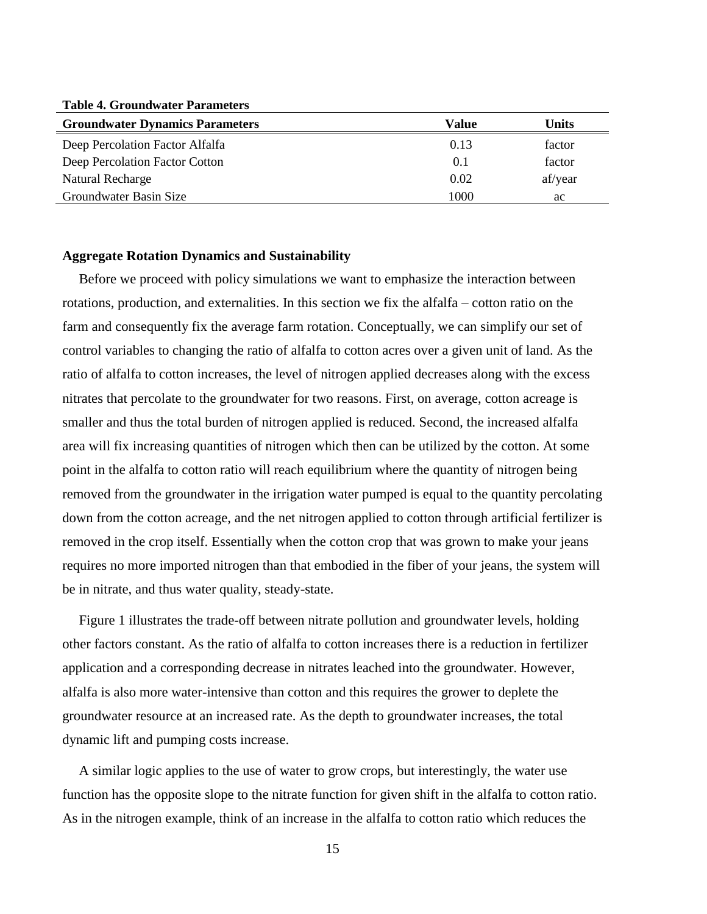**Table 4. Groundwater Parameters**

| <b>Groundwater Dynamics Parameters</b> | Value | Units   |
|----------------------------------------|-------|---------|
| Deep Percolation Factor Alfalfa        | 0.13  | factor  |
| Deep Percolation Factor Cotton         | (0.1) | factor  |
| Natural Recharge                       | 0.02  | af/year |
| Groundwater Basin Size                 | 1000  | ac      |

### **Aggregate Rotation Dynamics and Sustainability**

Before we proceed with policy simulations we want to emphasize the interaction between rotations, production, and externalities. In this section we fix the alfalfa – cotton ratio on the farm and consequently fix the average farm rotation. Conceptually, we can simplify our set of control variables to changing the ratio of alfalfa to cotton acres over a given unit of land. As the ratio of alfalfa to cotton increases, the level of nitrogen applied decreases along with the excess nitrates that percolate to the groundwater for two reasons. First, on average, cotton acreage is smaller and thus the total burden of nitrogen applied is reduced. Second, the increased alfalfa area will fix increasing quantities of nitrogen which then can be utilized by the cotton. At some point in the alfalfa to cotton ratio will reach equilibrium where the quantity of nitrogen being removed from the groundwater in the irrigation water pumped is equal to the quantity percolating down from the cotton acreage, and the net nitrogen applied to cotton through artificial fertilizer is removed in the crop itself. Essentially when the cotton crop that was grown to make your jeans requires no more imported nitrogen than that embodied in the fiber of your jeans, the system will be in nitrate, and thus water quality, steady-state.

Figure 1 illustrates the trade-off between nitrate pollution and groundwater levels, holding other factors constant. As the ratio of alfalfa to cotton increases there is a reduction in fertilizer application and a corresponding decrease in nitrates leached into the groundwater. However, alfalfa is also more water-intensive than cotton and this requires the grower to deplete the groundwater resource at an increased rate. As the depth to groundwater increases, the total dynamic lift and pumping costs increase.

A similar logic applies to the use of water to grow crops, but interestingly, the water use function has the opposite slope to the nitrate function for given shift in the alfalfa to cotton ratio. As in the nitrogen example, think of an increase in the alfalfa to cotton ratio which reduces the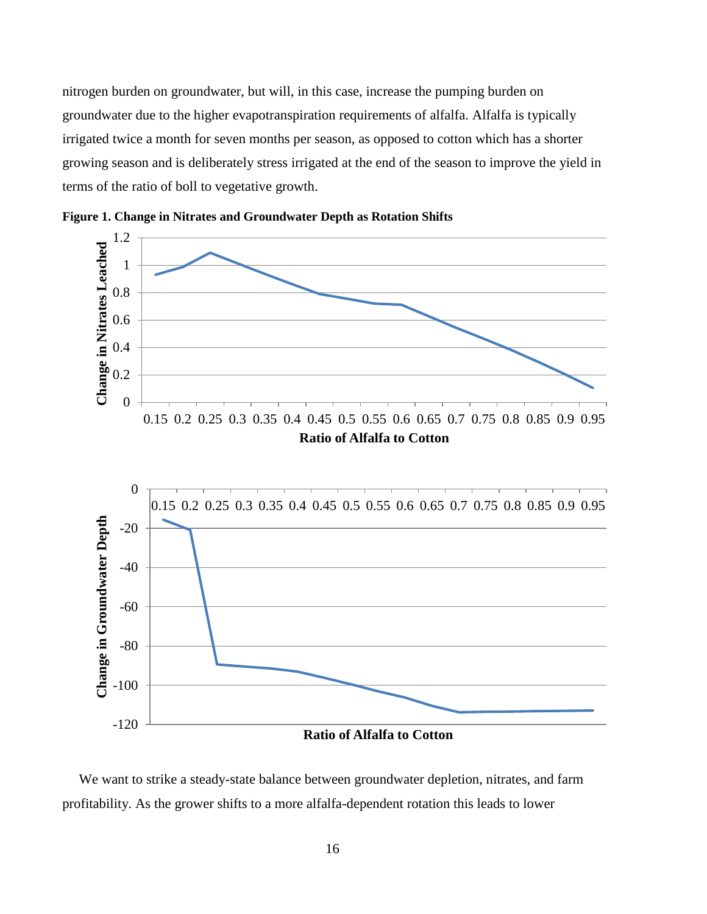nitrogen burden on groundwater, but will, in this case, increase the pumping burden on groundwater due to the higher evapotranspiration requirements of alfalfa. Alfalfa is typically irrigated twice a month for seven months per season, as opposed to cotton which has a shorter growing season and is deliberately stress irrigated at the end of the season to improve the yield in terms of the ratio of boll to vegetative growth.





We want to strike a steady-state balance between groundwater depletion, nitrates, and farm profitability. As the grower shifts to a more alfalfa-dependent rotation this leads to lower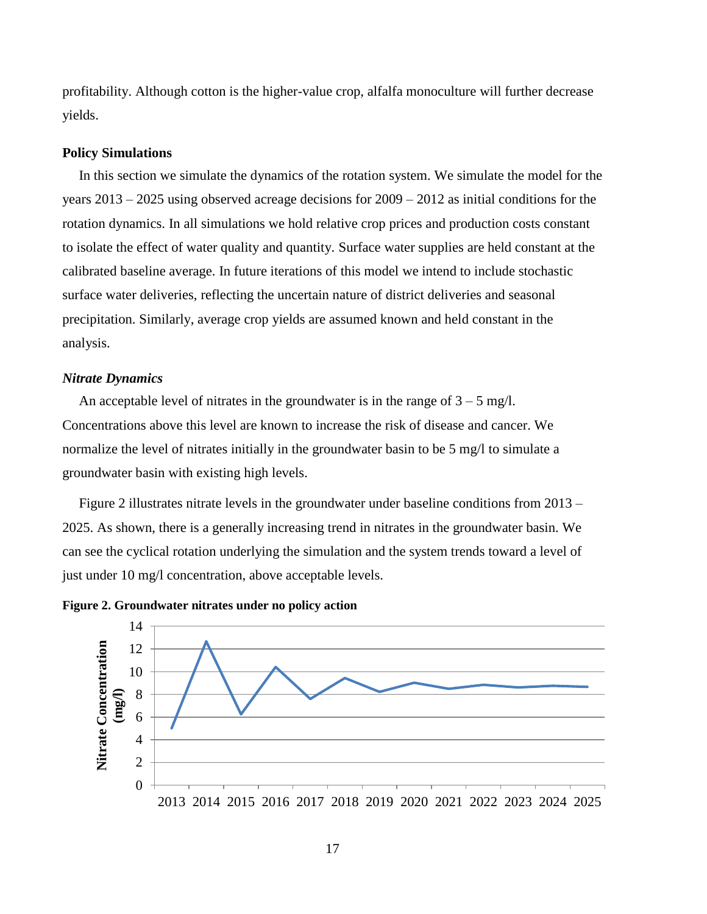profitability. Although cotton is the higher-value crop, alfalfa monoculture will further decrease yields.

#### **Policy Simulations**

In this section we simulate the dynamics of the rotation system. We simulate the model for the years 2013 – 2025 using observed acreage decisions for 2009 – 2012 as initial conditions for the rotation dynamics. In all simulations we hold relative crop prices and production costs constant to isolate the effect of water quality and quantity. Surface water supplies are held constant at the calibrated baseline average. In future iterations of this model we intend to include stochastic surface water deliveries, reflecting the uncertain nature of district deliveries and seasonal precipitation. Similarly, average crop yields are assumed known and held constant in the analysis.

### *Nitrate Dynamics*

An acceptable level of nitrates in the groundwater is in the range of  $3 - 5$  mg/l. Concentrations above this level are known to increase the risk of disease and cancer. We normalize the level of nitrates initially in the groundwater basin to be 5 mg/l to simulate a groundwater basin with existing high levels.

Figure 2 illustrates nitrate levels in the groundwater under baseline conditions from 2013 – 2025. As shown, there is a generally increasing trend in nitrates in the groundwater basin. We can see the cyclical rotation underlying the simulation and the system trends toward a level of just under 10 mg/l concentration, above acceptable levels.



**Figure 2. Groundwater nitrates under no policy action**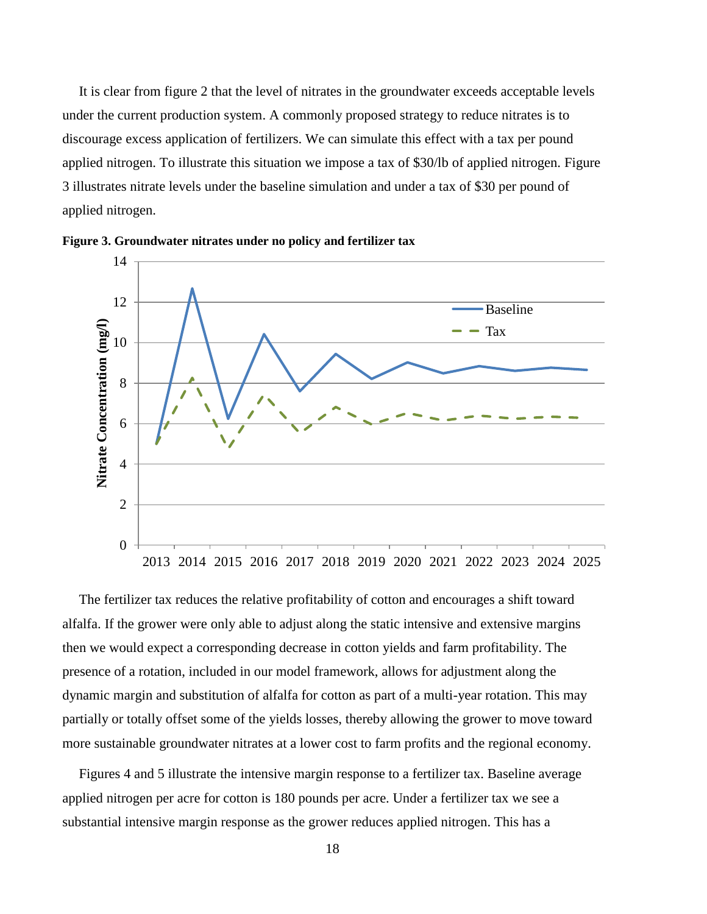It is clear from figure 2 that the level of nitrates in the groundwater exceeds acceptable levels under the current production system. A commonly proposed strategy to reduce nitrates is to discourage excess application of fertilizers. We can simulate this effect with a tax per pound applied nitrogen. To illustrate this situation we impose a tax of \$30/lb of applied nitrogen. Figure 3 illustrates nitrate levels under the baseline simulation and under a tax of \$30 per pound of applied nitrogen.





The fertilizer tax reduces the relative profitability of cotton and encourages a shift toward alfalfa. If the grower were only able to adjust along the static intensive and extensive margins then we would expect a corresponding decrease in cotton yields and farm profitability. The presence of a rotation, included in our model framework, allows for adjustment along the dynamic margin and substitution of alfalfa for cotton as part of a multi-year rotation. This may partially or totally offset some of the yields losses, thereby allowing the grower to move toward more sustainable groundwater nitrates at a lower cost to farm profits and the regional economy.

Figures 4 and 5 illustrate the intensive margin response to a fertilizer tax. Baseline average applied nitrogen per acre for cotton is 180 pounds per acre. Under a fertilizer tax we see a substantial intensive margin response as the grower reduces applied nitrogen. This has a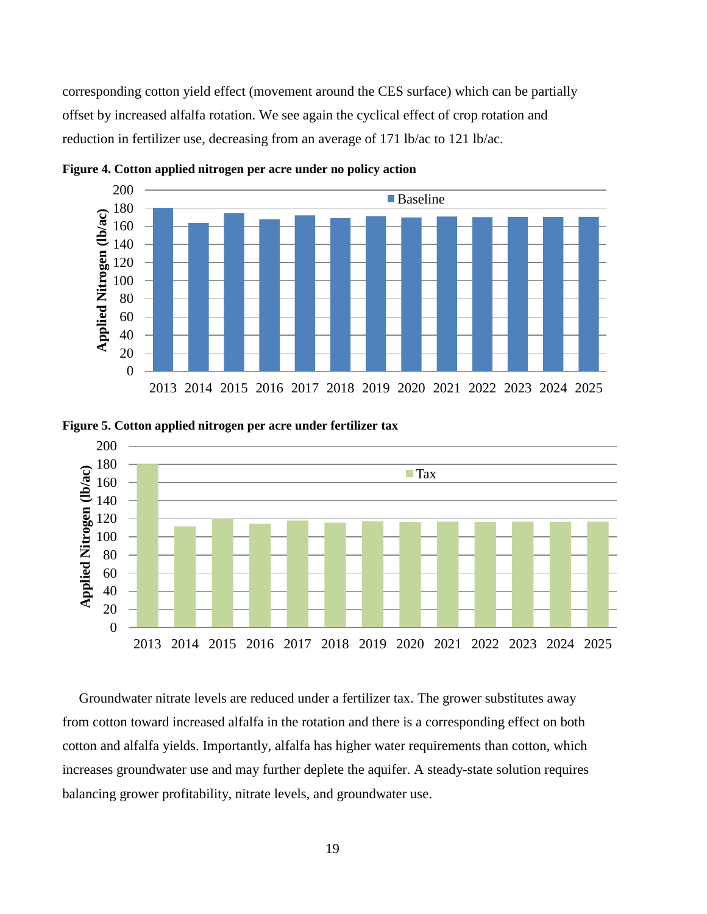corresponding cotton yield effect (movement around the CES surface) which can be partially offset by increased alfalfa rotation. We see again the cyclical effect of crop rotation and reduction in fertilizer use, decreasing from an average of 171 lb/ac to 121 lb/ac.



**Figure 4. Cotton applied nitrogen per acre under no policy action**



**Figure 5. Cotton applied nitrogen per acre under fertilizer tax**

Groundwater nitrate levels are reduced under a fertilizer tax. The grower substitutes away from cotton toward increased alfalfa in the rotation and there is a corresponding effect on both cotton and alfalfa yields. Importantly, alfalfa has higher water requirements than cotton, which increases groundwater use and may further deplete the aquifer. A steady-state solution requires balancing grower profitability, nitrate levels, and groundwater use.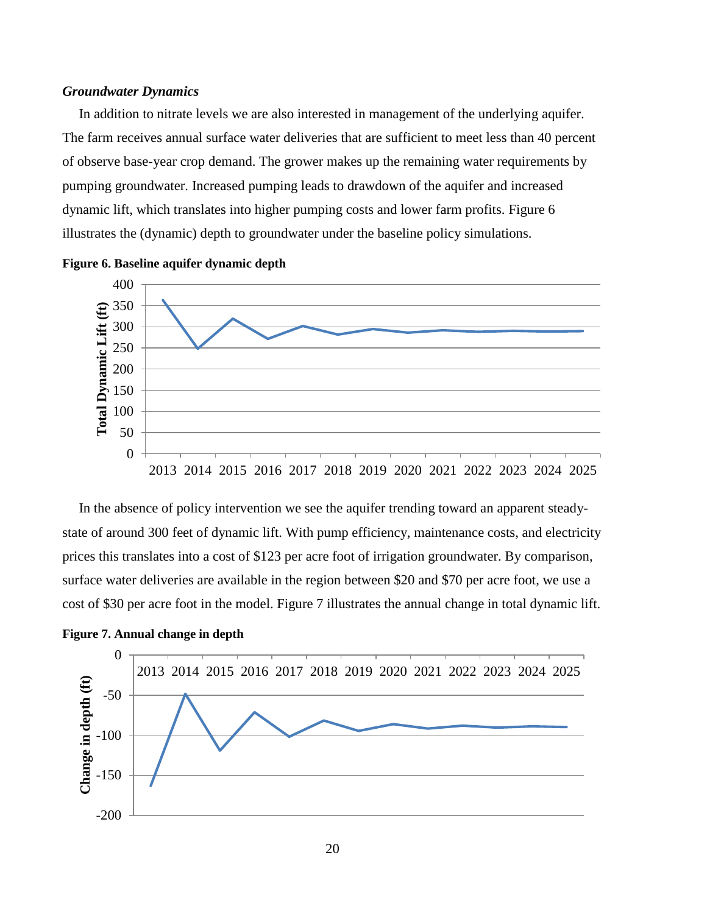### *Groundwater Dynamics*

In addition to nitrate levels we are also interested in management of the underlying aquifer. The farm receives annual surface water deliveries that are sufficient to meet less than 40 percent of observe base-year crop demand. The grower makes up the remaining water requirements by pumping groundwater. Increased pumping leads to drawdown of the aquifer and increased dynamic lift, which translates into higher pumping costs and lower farm profits. Figure 6 illustrates the (dynamic) depth to groundwater under the baseline policy simulations.



**Figure 6. Baseline aquifer dynamic depth**

In the absence of policy intervention we see the aquifer trending toward an apparent steadystate of around 300 feet of dynamic lift. With pump efficiency, maintenance costs, and electricity prices this translates into a cost of \$123 per acre foot of irrigation groundwater. By comparison, surface water deliveries are available in the region between \$20 and \$70 per acre foot, we use a cost of \$30 per acre foot in the model. Figure 7 illustrates the annual change in total dynamic lift.



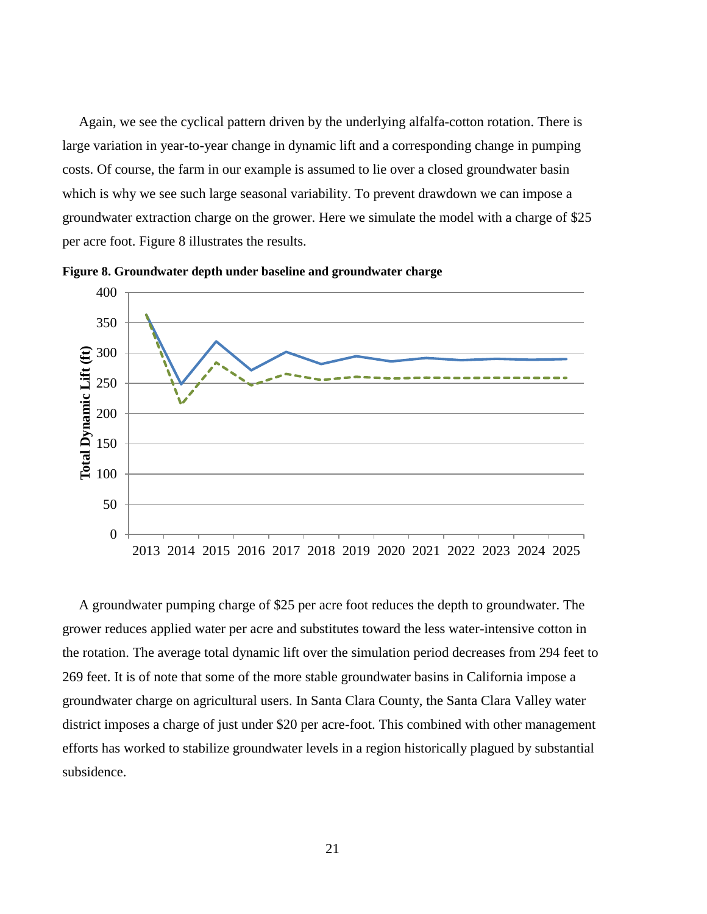Again, we see the cyclical pattern driven by the underlying alfalfa-cotton rotation. There is large variation in year-to-year change in dynamic lift and a corresponding change in pumping costs. Of course, the farm in our example is assumed to lie over a closed groundwater basin which is why we see such large seasonal variability. To prevent drawdown we can impose a groundwater extraction charge on the grower. Here we simulate the model with a charge of \$25 per acre foot. Figure 8 illustrates the results.





A groundwater pumping charge of \$25 per acre foot reduces the depth to groundwater. The grower reduces applied water per acre and substitutes toward the less water-intensive cotton in the rotation. The average total dynamic lift over the simulation period decreases from 294 feet to 269 feet. It is of note that some of the more stable groundwater basins in California impose a groundwater charge on agricultural users. In Santa Clara County, the Santa Clara Valley water district imposes a charge of just under \$20 per acre-foot. This combined with other management efforts has worked to stabilize groundwater levels in a region historically plagued by substantial subsidence.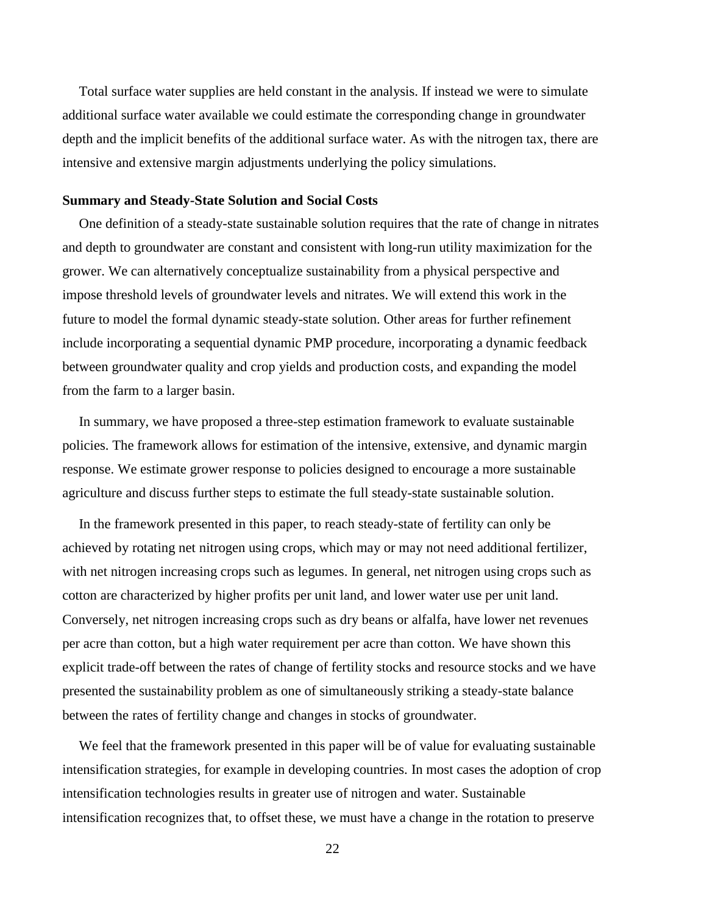Total surface water supplies are held constant in the analysis. If instead we were to simulate additional surface water available we could estimate the corresponding change in groundwater depth and the implicit benefits of the additional surface water. As with the nitrogen tax, there are intensive and extensive margin adjustments underlying the policy simulations.

#### **Summary and Steady-State Solution and Social Costs**

One definition of a steady-state sustainable solution requires that the rate of change in nitrates and depth to groundwater are constant and consistent with long-run utility maximization for the grower. We can alternatively conceptualize sustainability from a physical perspective and impose threshold levels of groundwater levels and nitrates. We will extend this work in the future to model the formal dynamic steady-state solution. Other areas for further refinement include incorporating a sequential dynamic PMP procedure, incorporating a dynamic feedback between groundwater quality and crop yields and production costs, and expanding the model from the farm to a larger basin.

In summary, we have proposed a three-step estimation framework to evaluate sustainable policies. The framework allows for estimation of the intensive, extensive, and dynamic margin response. We estimate grower response to policies designed to encourage a more sustainable agriculture and discuss further steps to estimate the full steady-state sustainable solution.

In the framework presented in this paper, to reach steady-state of fertility can only be achieved by rotating net nitrogen using crops, which may or may not need additional fertilizer, with net nitrogen increasing crops such as legumes. In general, net nitrogen using crops such as cotton are characterized by higher profits per unit land, and lower water use per unit land. Conversely, net nitrogen increasing crops such as dry beans or alfalfa, have lower net revenues per acre than cotton, but a high water requirement per acre than cotton. We have shown this explicit trade-off between the rates of change of fertility stocks and resource stocks and we have presented the sustainability problem as one of simultaneously striking a steady-state balance between the rates of fertility change and changes in stocks of groundwater.

We feel that the framework presented in this paper will be of value for evaluating sustainable intensification strategies, for example in developing countries. In most cases the adoption of crop intensification technologies results in greater use of nitrogen and water. Sustainable intensification recognizes that, to offset these, we must have a change in the rotation to preserve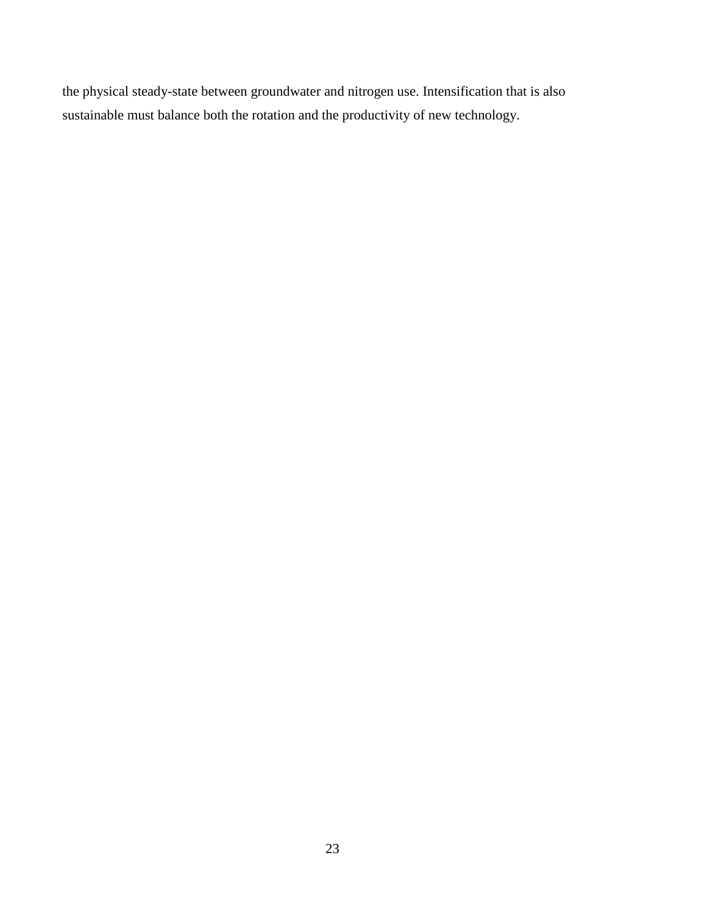the physical steady-state between groundwater and nitrogen use. Intensification that is also sustainable must balance both the rotation and the productivity of new technology.